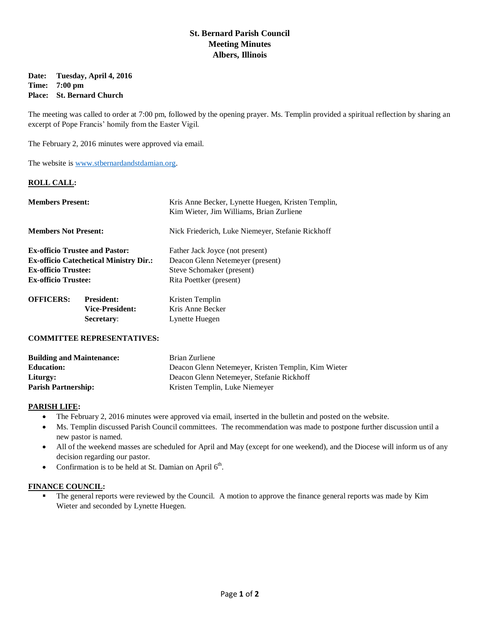# **St. Bernard Parish Council Meeting Minutes Albers, Illinois**

#### **Date: Tuesday, April 4, 2016 Time: 7:00 pm Place: St. Bernard Church**

The meeting was called to order at 7:00 pm, followed by the opening prayer. Ms. Templin provided a spiritual reflection by sharing an excerpt of Pope Francis' homily from the Easter Vigil.

The February 2, 2016 minutes were approved via email.

The website is [www.stbernardandstdamian.org.](http://www.stbernardandstdamian.org/)

### **ROLL CALL:**

| <b>Members Present:</b>                                                                                                                            |                                                           | Kris Anne Becker, Lynette Huegen, Kristen Templin,<br>Kim Wieter, Jim Williams, Brian Zurliene                              |
|----------------------------------------------------------------------------------------------------------------------------------------------------|-----------------------------------------------------------|-----------------------------------------------------------------------------------------------------------------------------|
| <b>Members Not Present:</b>                                                                                                                        |                                                           | Nick Friederich, Luke Niemeyer, Stefanie Rickhoff                                                                           |
| <b>Ex-officio Trustee and Pastor:</b><br><b>Ex-officio Catechetical Ministry Dir.:</b><br><b>Ex-officio Trustee:</b><br><b>Ex-officio Trustee:</b> |                                                           | Father Jack Joyce (not present)<br>Deacon Glenn Netemeyer (present)<br>Steve Schomaker (present)<br>Rita Poettker (present) |
| <b>OFFICERS:</b>                                                                                                                                   | <b>President:</b><br><b>Vice-President:</b><br>Secretary: | Kristen Templin<br>Kris Anne Becker<br>Lynette Huegen                                                                       |

#### **COMMITTEE REPRESENTATIVES:**

| <b>Building and Maintenance:</b> | Brian Zurliene                                      |
|----------------------------------|-----------------------------------------------------|
| <b>Education:</b>                | Deacon Glenn Netemeyer, Kristen Templin, Kim Wieter |
| Liturgy:                         | Deacon Glenn Netemeyer, Stefanie Rickhoff           |
| <b>Parish Partnership:</b>       | Kristen Templin, Luke Niemeyer                      |

#### **PARISH LIFE:**

- The February 2, 2016 minutes were approved via email, inserted in the bulletin and posted on the website.
- Ms. Templin discussed Parish Council committees. The recommendation was made to postpone further discussion until a new pastor is named.
- All of the weekend masses are scheduled for April and May (except for one weekend), and the Diocese will inform us of any decision regarding our pastor.
- Confirmation is to be held at St. Damian on April  $6<sup>th</sup>$ .

## **FINANCE COUNCIL:**

 The general reports were reviewed by the Council. A motion to approve the finance general reports was made by Kim Wieter and seconded by Lynette Huegen.